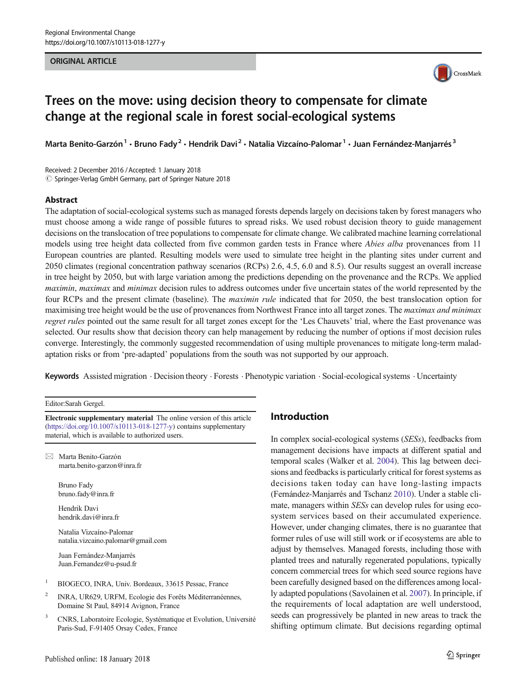#### ORIGINAL ARTICLE



# Trees on the move: using decision theory to compensate for climate change at the regional scale in forest social-ecological systems

Marta Benito-Garzón<sup>1</sup> · Bruno Fady<sup>2</sup> · Hendrik Davi<sup>2</sup> · Natalia Vizcaíno-Palomar<sup>1</sup> · Juan Fernández-Manjarrés<sup>3</sup>

Received: 2 December 2016 /Accepted: 1 January 2018  $\circled{c}$  Springer-Verlag GmbH Germany, part of Springer Nature 2018

### Abstract

The adaptation of social-ecological systems such as managed forests depends largely on decisions taken by forest managers who must choose among a wide range of possible futures to spread risks. We used robust decision theory to guide management decisions on the translocation of tree populations to compensate for climate change. We calibrated machine learning correlational models using tree height data collected from five common garden tests in France where *Abies alba* provenances from 11 European countries are planted. Resulting models were used to simulate tree height in the planting sites under current and 2050 climates (regional concentration pathway scenarios (RCPs) 2.6, 4.5, 6.0 and 8.5). Our results suggest an overall increase in tree height by 2050, but with large variation among the predictions depending on the provenance and the RCPs. We applied maximin, maximax and minimax decision rules to address outcomes under five uncertain states of the world represented by the four RCPs and the present climate (baseline). The maximin rule indicated that for 2050, the best translocation option for maximising tree height would be the use of provenances from Northwest France into all target zones. The *maximax and minimax* regret rules pointed out the same result for all target zones except for the 'Les Chauvets' trial, where the East provenance was selected. Our results show that decision theory can help management by reducing the number of options if most decision rules converge. Interestingly, the commonly suggested recommendation of using multiple provenances to mitigate long-term maladaptation risks or from 'pre-adapted' populations from the south was not supported by our approach.

Keywords Assisted migration . Decision theory . Forests . Phenotypic variation . Social-ecological systems . Uncertainty

Editor:Sarah Gergel.

Electronic supplementary material The online version of this article (<https://doi.org/10.1007/s10113-018-1277-y>) contains supplementary material, which is available to authorized users.

 $\boxtimes$  Marta Benito-Garzón [marta.benito-garzon@inra.fr](mailto:marta.benitoarzon@inra.fr)

> Bruno Fady bruno.fady@inra.fr

Hendrik Davi hendrik.davi@inra.fr

Natalia Vizcaíno-Palomar natalia.vizcaino.palomar@gmail.com

Juan Fernández-Manjarrés Juan.Fernandez@u-psud.fr

- <sup>1</sup> BIOGECO, INRA, Univ. Bordeaux, 33615 Pessac, France
- <sup>2</sup> INRA, UR629, URFM, Ecologie des Forêts Méditerranéennes, Domaine St Paul, 84914 Avignon, France
- <sup>3</sup> CNRS, Laboratoire Ecologie, Systématique et Evolution, Université Paris-Sud, F-91405 Orsay Cedex, France

# Introduction

In complex social-ecological systems (SESs), feedbacks from management decisions have impacts at different spatial and temporal scales (Walker et al. [2004\)](#page-10-0). This lag between decisions and feedbacks is particularly critical for forest systems as decisions taken today can have long-lasting impacts (Fernández-Manjarrés and Tschanz [2010\)](#page-9-0). Under a stable climate, managers within SESs can develop rules for using ecosystem services based on their accumulated experience. However, under changing climates, there is no guarantee that former rules of use will still work or if ecosystems are able to adjust by themselves. Managed forests, including those with planted trees and naturally regenerated populations, typically concern commercial trees for which seed source regions have been carefully designed based on the differences among locally adapted populations (Savolainen et al. [2007](#page-10-0)). In principle, if the requirements of local adaptation are well understood, seeds can progressively be planted in new areas to track the shifting optimum climate. But decisions regarding optimal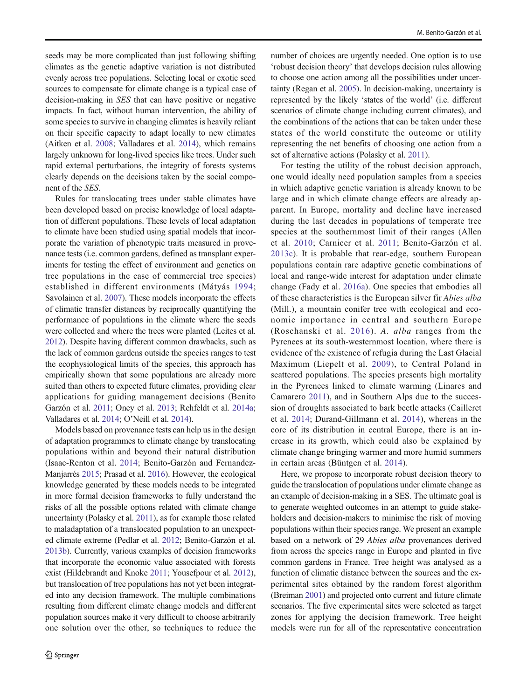seeds may be more complicated than just following shifting climates as the genetic adaptive variation is not distributed evenly across tree populations. Selecting local or exotic seed sources to compensate for climate change is a typical case of decision-making in SES that can have positive or negative impacts. In fact, without human intervention, the ability of some species to survive in changing climates is heavily reliant on their specific capacity to adapt locally to new climates (Aitken et al. [2008;](#page-8-0) Valladares et al. [2014](#page-10-0)), which remains largely unknown for long-lived species like trees. Under such rapid external perturbations, the integrity of forests systems clearly depends on the decisions taken by the social component of the SES.

Rules for translocating trees under stable climates have been developed based on precise knowledge of local adaptation of different populations. These levels of local adaptation to climate have been studied using spatial models that incorporate the variation of phenotypic traits measured in provenance tests (i.e. common gardens, defined as transplant experiments for testing the effect of environment and genetics on tree populations in the case of commercial tree species) established in different environments (Mátyás [1994](#page-9-0); Savolainen et al. [2007\)](#page-10-0). These models incorporate the effects of climatic transfer distances by reciprocally quantifying the performance of populations in the climate where the seeds were collected and where the trees were planted (Leites et al. [2012\)](#page-9-0). Despite having different common drawbacks, such as the lack of common gardens outside the species ranges to test the ecophysiological limits of the species, this approach has empirically shown that some populations are already more suited than others to expected future climates, providing clear applications for guiding management decisions (Benito Garzón et al. [2011;](#page-8-0) Oney et al. [2013](#page-9-0); Rehfeldt et al. [2014a](#page-9-0); Valladares et al. [2014;](#page-10-0) O'Neill et al. [2014](#page-9-0)).

Models based on provenance tests can help us in the design of adaptation programmes to climate change by translocating populations within and beyond their natural distribution (Isaac-Renton et al. [2014;](#page-9-0) Benito-Garzón and Fernandez-Manjarrés [2015](#page-8-0); Prasad et al. [2016\)](#page-9-0). However, the ecological knowledge generated by these models needs to be integrated in more formal decision frameworks to fully understand the risks of all the possible options related with climate change uncertainty (Polasky et al. [2011](#page-9-0)), as for example those related to maladaptation of a translocated population to an unexpected climate extreme (Pedlar et al. [2012;](#page-9-0) Benito-Garzón et al. [2013b](#page-8-0)). Currently, various examples of decision frameworks that incorporate the economic value associated with forests exist (Hildebrandt and Knoke [2011](#page-9-0); Yousefpour et al. [2012\)](#page-10-0), but translocation of tree populations has not yet been integrated into any decision framework. The multiple combinations resulting from different climate change models and different population sources make it very difficult to choose arbitrarily one solution over the other, so techniques to reduce the number of choices are urgently needed. One option is to use 'robust decision theory' that develops decision rules allowing to choose one action among all the possibilities under uncertainty (Regan et al. [2005\)](#page-9-0). In decision-making, uncertainty is represented by the likely 'states of the world' (i.e. different scenarios of climate change including current climates), and the combinations of the actions that can be taken under these states of the world constitute the outcome or utility representing the net benefits of choosing one action from a set of alternative actions (Polasky et al. [2011](#page-9-0)).

For testing the utility of the robust decision approach, one would ideally need population samples from a species in which adaptive genetic variation is already known to be large and in which climate change effects are already apparent. In Europe, mortality and decline have increased during the last decades in populations of temperate tree species at the southernmost limit of their ranges (Allen et al. [2010;](#page-8-0) Carnicer et al. [2011](#page-9-0); Benito-Garzón et al. [2013c](#page-8-0)). It is probable that rear-edge, southern European populations contain rare adaptive genetic combinations of local and range-wide interest for adaptation under climate change (Fady et al. [2016a\)](#page-9-0). One species that embodies all of these characteristics is the European silver fir Abies alba (Mill.), a mountain conifer tree with ecological and economic importance in central and southern Europe (Roschanski et al. [2016\)](#page-9-0). A. alba ranges from the Pyrenees at its south-westernmost location, where there is evidence of the existence of refugia during the Last Glacial Maximum (Liepelt et al. [2009](#page-9-0)), to Central Poland in scattered populations. The species presents high mortality in the Pyrenees linked to climate warming (Linares and Camarero [2011](#page-9-0)), and in Southern Alps due to the succession of droughts associated to bark beetle attacks (Cailleret et al. [2014](#page-8-0); Durand-Gillmann et al. [2014](#page-9-0)), whereas in the core of its distribution in central Europe, there is an increase in its growth, which could also be explained by climate change bringing warmer and more humid summers in certain areas (Büntgen et al. [2014](#page-8-0)).

Here, we propose to incorporate robust decision theory to guide the translocation of populations under climate change as an example of decision-making in a SES. The ultimate goal is to generate weighted outcomes in an attempt to guide stakeholders and decision-makers to minimise the risk of moving populations within their species range. We present an example based on a network of 29 Abies alba provenances derived from across the species range in Europe and planted in five common gardens in France. Tree height was analysed as a function of climatic distance between the sources and the experimental sites obtained by the random forest algorithm (Breiman [2001\)](#page-8-0) and projected onto current and future climate scenarios. The five experimental sites were selected as target zones for applying the decision framework. Tree height models were run for all of the representative concentration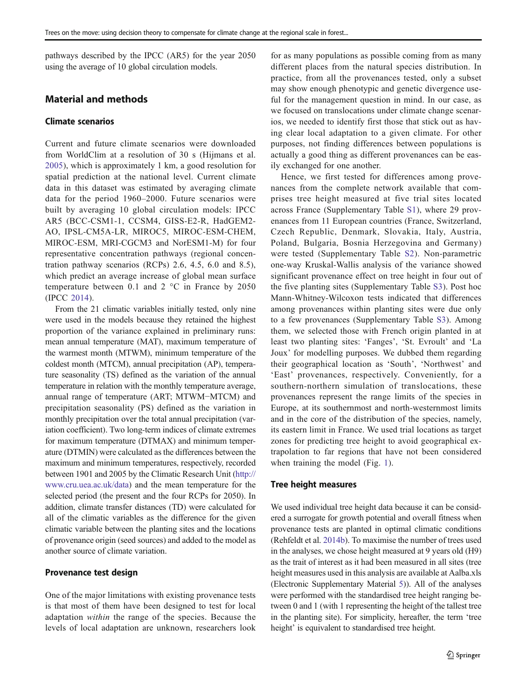pathways described by the IPCC (AR5) for the year 2050 using the average of 10 global circulation models.

# Material and methods

# Climate scenarios

Current and future climate scenarios were downloaded from WorldClim at a resolution of 30 s (Hijmans et al. [2005](#page-9-0)), which is approximately 1 km, a good resolution for spatial prediction at the national level. Current climate data in this dataset was estimated by averaging climate data for the period 1960–2000. Future scenarios were built by averaging 10 global circulation models: IPCC AR5 (BCC-CSM1-1, CCSM4, GISS-E2-R, HadGEM2- AO, IPSL-CM5A-LR, MIROC5, MIROC-ESM-CHEM, MIROC-ESM, MRI-CGCM3 and NorESM1-M) for four representative concentration pathways (regional concentration pathway scenarios (RCPs) 2.6, 4.5, 6.0 and 8.5), which predict an average increase of global mean surface temperature between 0.1 and 2 °C in France by 2050 (IPCC [2014\)](#page-9-0).

From the 21 climatic variables initially tested, only nine were used in the models because they retained the highest proportion of the variance explained in preliminary runs: mean annual temperature (MAT), maximum temperature of the warmest month (MTWM), minimum temperature of the coldest month (MTCM), annual precipitation (AP), temperature seasonality (TS) defined as the variation of the annual temperature in relation with the monthly temperature average, annual range of temperature (ART; MTWM−MTCM) and precipitation seasonality (PS) defined as the variation in monthly precipitation over the total annual precipitation (variation coefficient). Two long-term indices of climate extremes for maximum temperature (DTMAX) and minimum temperature (DTMIN) were calculated as the differences between the maximum and minimum temperatures, respectively, recorded between 1901 and 2005 by the Climatic Research Unit [\(http://](http://www.cru.uea.ac.uk/data) [www.cru.uea.ac.uk/data\)](http://www.cru.uea.ac.uk/data) and the mean temperature for the selected period (the present and the four RCPs for 2050). In addition, climate transfer distances (TD) were calculated for all of the climatic variables as the difference for the given climatic variable between the planting sites and the locations of provenance origin (seed sources) and added to the model as another source of climate variation.

## Provenance test design

One of the major limitations with existing provenance tests is that most of them have been designed to test for local adaptation within the range of the species. Because the levels of local adaptation are unknown, researchers look

for as many populations as possible coming from as many different places from the natural species distribution. In practice, from all the provenances tested, only a subset may show enough phenotypic and genetic divergence useful for the management question in mind. In our case, as we focused on translocations under climate change scenarios, we needed to identify first those that stick out as having clear local adaptation to a given climate. For other purposes, not finding differences between populations is actually a good thing as different provenances can be easily exchanged for one another.

Hence, we first tested for differences among provenances from the complete network available that comprises tree height measured at five trial sites located across France (Supplementary Table S1), where 29 provenances from 11 European countries (France, Switzerland, Czech Republic, Denmark, Slovakia, Italy, Austria, Poland, Bulgaria, Bosnia Herzegovina and Germany) were tested (Supplementary Table S2). Non-parametric one-way Kruskal-Wallis analysis of the variance showed significant provenance effect on tree height in four out of the five planting sites (Supplementary Table S3). Post hoc Mann-Whitney-Wilcoxon tests indicated that differences among provenances within planting sites were due only to a few provenances (Supplementary Table S3). Among them, we selected those with French origin planted in at least two planting sites: 'Fanges', 'St. Evroult' and 'La Joux' for modelling purposes. We dubbed them regarding their geographical location as 'South', 'Northwest' and 'East' provenances, respectively. Conveniently, for a southern-northern simulation of translocations, these provenances represent the range limits of the species in Europe, at its southernmost and north-westernmost limits and in the core of the distribution of the species, namely, its eastern limit in France. We used trial locations as target zones for predicting tree height to avoid geographical extrapolation to far regions that have not been considered when training the model (Fig. [1](#page-3-0)).

## Tree height measures

We used individual tree height data because it can be considered a surrogate for growth potential and overall fitness when provenance tests are planted in optimal climatic conditions (Rehfeldt et al. [2014b\)](#page-9-0). To maximise the number of trees used in the analyses, we chose height measured at 9 years old (H9) as the trait of interest as it had been measured in all sites (tree height measures used in this analysis are available at Aalba.xls (Electronic Supplementary Material 5)). All of the analyses were performed with the standardised tree height ranging between 0 and 1 (with 1 representing the height of the tallest tree in the planting site). For simplicity, hereafter, the term 'tree height' is equivalent to standardised tree height.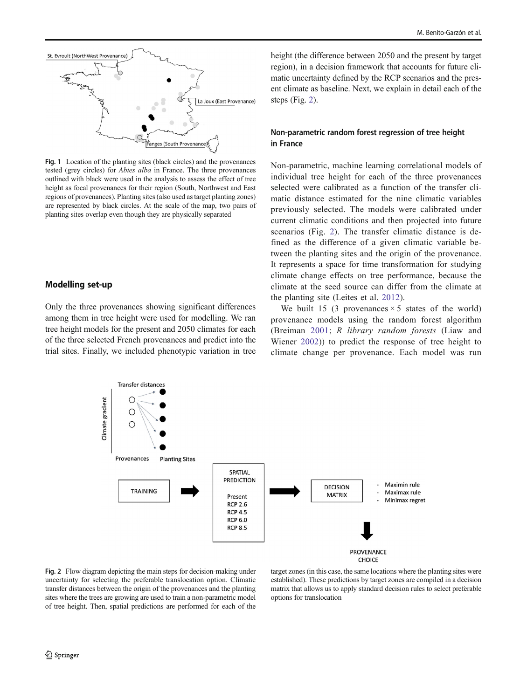<span id="page-3-0"></span>

Fig. 1 Location of the planting sites (black circles) and the provenances tested (grey circles) for Abies alba in France. The three provenances outlined with black were used in the analysis to assess the effect of tree height as focal provenances for their region (South, Northwest and East regions of provenances). Planting sites (also used as target planting zones) are represented by black circles. At the scale of the map, two pairs of planting sites overlap even though they are physically separated

## Modelling set-up

Only the three provenances showing significant differences among them in tree height were used for modelling. We ran tree height models for the present and 2050 climates for each of the three selected French provenances and predict into the trial sites. Finally, we included phenotypic variation in tree

height (the difference between 2050 and the present by target region), in a decision framework that accounts for future climatic uncertainty defined by the RCP scenarios and the present climate as baseline. Next, we explain in detail each of the steps (Fig. 2).

## Non-parametric random forest regression of tree height in France

Non-parametric, machine learning correlational models of individual tree height for each of the three provenances selected were calibrated as a function of the transfer climatic distance estimated for the nine climatic variables previously selected. The models were calibrated under current climatic conditions and then projected into future scenarios (Fig. 2). The transfer climatic distance is defined as the difference of a given climatic variable between the planting sites and the origin of the provenance. It represents a space for time transformation for studying climate change effects on tree performance, because the climate at the seed source can differ from the climate at the planting site (Leites et al. [2012](#page-9-0)).

We built 15 (3 provenances  $\times$  5 states of the world) provenance models using the random forest algorithm (Breiman [2001](#page-8-0); R library random forests (Liaw and Wiener [2002](#page-9-0))) to predict the response of tree height to climate change per provenance. Each model was run



PROVENANCE CHOICE

Fig. 2 Flow diagram depicting the main steps for decision-making under uncertainty for selecting the preferable translocation option. Climatic transfer distances between the origin of the provenances and the planting sites where the trees are growing are used to train a non-parametric model of tree height. Then, spatial predictions are performed for each of the

target zones (in this case, the same locations where the planting sites were established). These predictions by target zones are compiled in a decision matrix that allows us to apply standard decision rules to select preferable options for translocation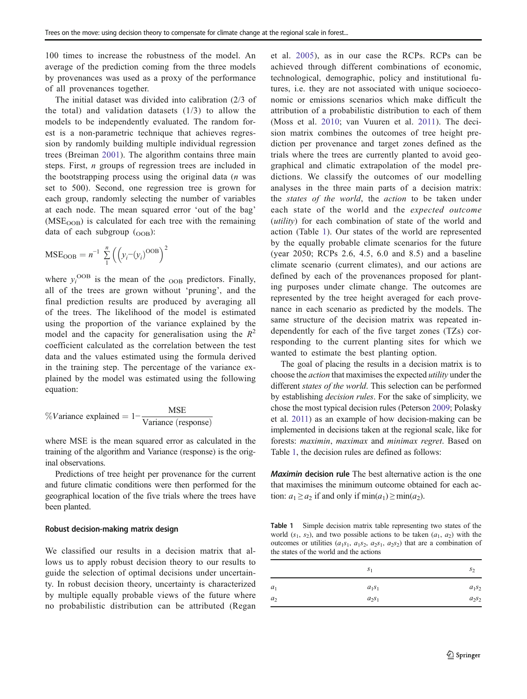<span id="page-4-0"></span>100 times to increase the robustness of the model. An average of the prediction coming from the three models by provenances was used as a proxy of the performance of all provenances together.

The initial dataset was divided into calibration (2/3 of the total) and validation datasets  $(1/3)$  to allow the models to be independently evaluated. The random forest is a non-parametric technique that achieves regression by randomly building multiple individual regression trees (Breiman [2001\)](#page-8-0). The algorithm contains three main steps. First, n groups of regression trees are included in the bootstrapping process using the original data  $(n \text{ was})$ set to 500). Second, one regression tree is grown for each group, randomly selecting the number of variables at each node. The mean squared error 'out of the bag'  $(MSE<sub>OOB</sub>)$  is calculated for each tree with the remaining data of each subgroup  $(0.0)$ :

$$
MSE_{OOB} = n^{-1} \sum_{1}^{n} ((y_i - (y_i)^{OOB})^2)
$$

where  $y_i^{\text{OOB}}$  is the mean of the  $_{\text{OOB}}$  predictors. Finally, all of the trees are grown without 'pruning', and the final prediction results are produced by averaging all of the trees. The likelihood of the model is estimated using the proportion of the variance explained by the model and the capacity for generalisation using the  $R^2$ coefficient calculated as the correlation between the test data and the values estimated using the formula derived in the training step. The percentage of the variance explained by the model was estimated using the following equation:

$$
\% \text{Variance explained} = 1 - \frac{\text{MSE}}{\text{Variance (response)}}
$$

where MSE is the mean squared error as calculated in the training of the algorithm and Variance (response) is the original observations.

Predictions of tree height per provenance for the current and future climatic conditions were then performed for the geographical location of the five trials where the trees have been planted.

#### Robust decision-making matrix design

We classified our results in a decision matrix that allows us to apply robust decision theory to our results to guide the selection of optimal decisions under uncertainty. In robust decision theory, uncertainty is characterized by multiple equally probable views of the future where no probabilistic distribution can be attributed (Regan et al. [2005](#page-9-0)), as in our case the RCPs. RCPs can be achieved through different combinations of economic, technological, demographic, policy and institutional futures, i.e. they are not associated with unique socioeconomic or emissions scenarios which make difficult the attribution of a probabilistic distribution to each of them (Moss et al. [2010;](#page-9-0) van Vuuren et al. [2011\)](#page-10-0). The decision matrix combines the outcomes of tree height prediction per provenance and target zones defined as the trials where the trees are currently planted to avoid geographical and climatic extrapolation of the model predictions. We classify the outcomes of our modelling analyses in the three main parts of a decision matrix: the states of the world, the action to be taken under each state of the world and the expected outcome (utility) for each combination of state of the world and action (Table 1). Our states of the world are represented by the equally probable climate scenarios for the future (year 2050; RCPs 2.6, 4.5, 6.0 and 8.5) and a baseline climate scenario (current climates), and our actions are defined by each of the provenances proposed for planting purposes under climate change. The outcomes are represented by the tree height averaged for each provenance in each scenario as predicted by the models. The same structure of the decision matrix was repeated independently for each of the five target zones (TZs) corresponding to the current planting sites for which we wanted to estimate the best planting option.

The goal of placing the results in a decision matrix is to choose the action that maximises the expected utility under the different states of the world. This selection can be performed by establishing decision rules. For the sake of simplicity, we chose the most typical decision rules (Peterson [2009](#page-9-0); Polasky et al. [2011](#page-9-0)) as an example of how decision-making can be implemented in decisions taken at the regional scale, like for forests: maximin, maximax and minimax regret. Based on Table 1, the decision rules are defined as follows:

Maximin decision rule The best alternative action is the one that maximises the minimum outcome obtained for each action:  $a_1 \ge a_2$  if and only if  $\min(a_1) \ge \min(a_2)$ .

Table 1 Simple decision matrix table representing two states of the world  $(s_1, s_2)$ , and two possible actions to be taken  $(a_1, a_2)$  with the outcomes or utilities  $(a_1s_1, a_1s_2, a_2s_1, a_2s_2)$  that are a combination of the states of the world and the actions

|                | S <sub>1</sub> | $s_2$    |
|----------------|----------------|----------|
| $a_1$          | $a_1s_1$       | $a_1s_2$ |
| a <sub>2</sub> | $a_2s_1$       | $a_2s_2$ |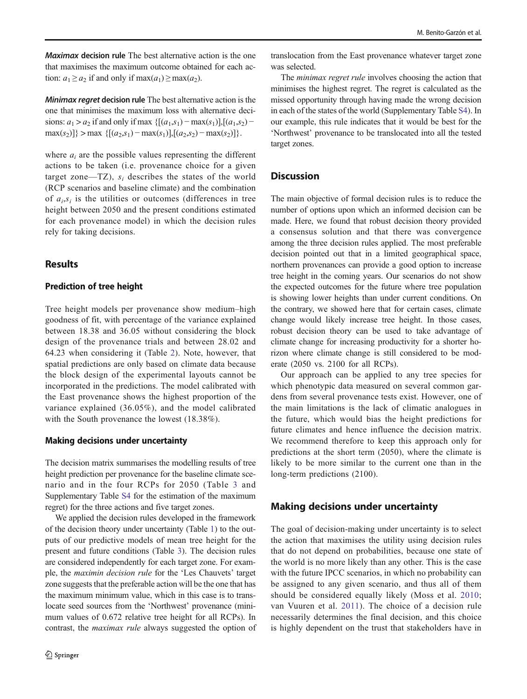Maximax decision rule The best alternative action is the one that maximises the maximum outcome obtained for each action:  $a_1 \ge a_2$  if and only if max $(a_1) \ge \max(a_2)$ .

Minimax regret decision rule The best alternative action is the one that minimises the maximum loss with alternative decisions:  $a_1 > a_2$  if and only if max  $\{[(a_1,s_1) - \max(s_1)], [(a_1,s_2)$ max(s<sub>2</sub>)]} > max {[(a<sub>2</sub>,s<sub>1</sub>) – max(s<sub>1</sub>)],[(a<sub>2</sub>,s<sub>2</sub>) – max(s<sub>2</sub>)]}.

where  $a_i$  are the possible values representing the different actions to be taken (i.e. provenance choice for a given target zone—TZ),  $s_i$  describes the states of the world (RCP scenarios and baseline climate) and the combination of  $a_i,s_i$  is the utilities or outcomes (differences in tree height between 2050 and the present conditions estimated for each provenance model) in which the decision rules rely for taking decisions.

# Results

### Prediction of tree height

Tree height models per provenance show medium–high goodness of fit, with percentage of the variance explained between 18.38 and 36.05 without considering the block design of the provenance trials and between 28.02 and 64.23 when considering it (Table [2\)](#page-6-0). Note, however, that spatial predictions are only based on climate data because the block design of the experimental layouts cannot be incorporated in the predictions. The model calibrated with the East provenance shows the highest proportion of the variance explained (36.05%), and the model calibrated with the South provenance the lowest (18.38%).

#### Making decisions under uncertainty

The decision matrix summarises the modelling results of tree height prediction per provenance for the baseline climate scenario and in the four RCPs for 2050 (Table [3](#page-6-0) and Supplementary Table S4 for the estimation of the maximum regret) for the three actions and five target zones.

We applied the decision rules developed in the framework of the decision theory under uncertainty (Table [1\)](#page-4-0) to the outputs of our predictive models of mean tree height for the present and future conditions (Table [3\)](#page-6-0). The decision rules are considered independently for each target zone. For example, the maximin decision rule for the 'Les Chauvets' target zone suggests that the preferable action will be the one that has the maximum minimum value, which in this case is to translocate seed sources from the 'Northwest' provenance (minimum values of 0.672 relative tree height for all RCPs). In contrast, the maximax rule always suggested the option of

translocation from the East provenance whatever target zone was selected.

The *minimax regret rule* involves choosing the action that minimises the highest regret. The regret is calculated as the missed opportunity through having made the wrong decision in each of the states of the world (Supplementary Table S4). In our example, this rule indicates that it would be best for the 'Northwest' provenance to be translocated into all the tested target zones.

# **Discussion**

The main objective of formal decision rules is to reduce the number of options upon which an informed decision can be made. Here, we found that robust decision theory provided a consensus solution and that there was convergence among the three decision rules applied. The most preferable decision pointed out that in a limited geographical space, northern provenances can provide a good option to increase tree height in the coming years. Our scenarios do not show the expected outcomes for the future where tree population is showing lower heights than under current conditions. On the contrary, we showed here that for certain cases, climate change would likely increase tree height. In those cases, robust decision theory can be used to take advantage of climate change for increasing productivity for a shorter horizon where climate change is still considered to be moderate (2050 vs. 2100 for all RCPs).

Our approach can be applied to any tree species for which phenotypic data measured on several common gardens from several provenance tests exist. However, one of the main limitations is the lack of climatic analogues in the future, which would bias the height predictions for future climates and hence influence the decision matrix. We recommend therefore to keep this approach only for predictions at the short term (2050), where the climate is likely to be more similar to the current one than in the long-term predictions (2100).

# Making decisions under uncertainty

The goal of decision-making under uncertainty is to select the action that maximises the utility using decision rules that do not depend on probabilities, because one state of the world is no more likely than any other. This is the case with the future IPCC scenarios, in which no probability can be assigned to any given scenario, and thus all of them should be considered equally likely (Moss et al. [2010;](#page-9-0) van Vuuren et al. [2011](#page-10-0)). The choice of a decision rule necessarily determines the final decision, and this choice is highly dependent on the trust that stakeholders have in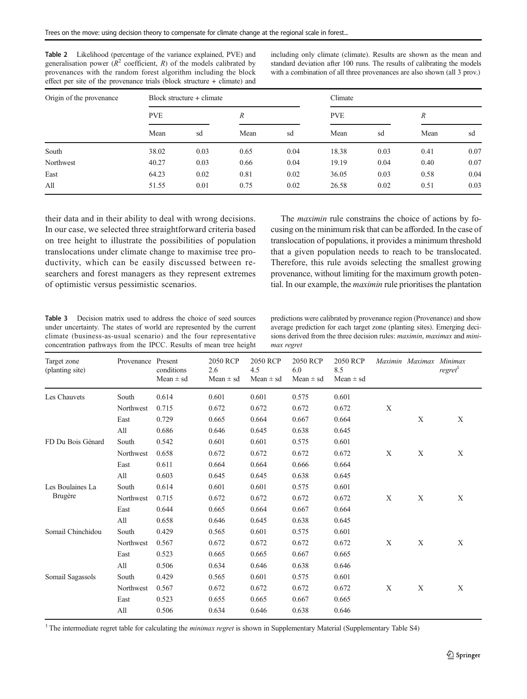<span id="page-6-0"></span>Table 2 Likelihood (percentage of the variance explained, PVE) and generalisation power ( $R^2$  coefficient, R) of the models calibrated by provenances with the random forest algorithm including the block effect per site of the provenance trials (block structure + climate) and including only climate (climate). Results are shown as the mean and standard deviation after 100 runs. The results of calibrating the models with a combination of all three provenances are also shown (all 3 prov.)

| Origin of the provenance | Block structure + climate |      |                  |      | Climate    |      |                  |      |  |
|--------------------------|---------------------------|------|------------------|------|------------|------|------------------|------|--|
|                          | <b>PVE</b>                |      | $\boldsymbol{R}$ |      | <b>PVE</b> |      | $\boldsymbol{R}$ |      |  |
|                          | Mean                      | sd   | Mean             | sd   | Mean       | sd   | Mean             | sd   |  |
| South                    | 38.02                     | 0.03 | 0.65             | 0.04 | 18.38      | 0.03 | 0.41             | 0.07 |  |
| Northwest                | 40.27                     | 0.03 | 0.66             | 0.04 | 19.19      | 0.04 | 0.40             | 0.07 |  |
| East                     | 64.23                     | 0.02 | 0.81             | 0.02 | 36.05      | 0.03 | 0.58             | 0.04 |  |
| All                      | 51.55                     | 0.01 | 0.75             | 0.02 | 26.58      | 0.02 | 0.51             | 0.03 |  |

their data and in their ability to deal with wrong decisions. In our case, we selected three straightforward criteria based on tree height to illustrate the possibilities of population translocations under climate change to maximise tree productivity, which can be easily discussed between researchers and forest managers as they represent extremes of optimistic versus pessimistic scenarios.

The *maximin* rule constrains the choice of actions by focusing on the minimum risk that can be afforded. In the case of translocation of populations, it provides a minimum threshold that a given population needs to reach to be translocated. Therefore, this rule avoids selecting the smallest growing provenance, without limiting for the maximum growth potential. In our example, the maximin rule prioritises the plantation

Table 3 Decision matrix used to address the choice of seed sources under uncertainty. The states of world are represented by the current climate (business-as-usual scenario) and the four representative concentration pathways from the IPCC. Results of mean tree height

predictions were calibrated by provenance region (Provenance) and show average prediction for each target zone (planting sites). Emerging decisions derived from the three decision rules: maximin, maximax and minimax regret

| Target zone<br>(planting site)     | Provenance Present | conditions<br>Mean $\pm$ sd | 2050 RCP<br>2.6<br>$Mean \pm sd$ | 2050 RCP<br>4.5<br>Mean $\pm$ sd | 2050 RCP<br>6.0<br>Mean $\pm$ sd | 2050 RCP<br>8.5<br>Mean $\pm$ sd |   | Maximin Maximax | Minimax<br>regret |
|------------------------------------|--------------------|-----------------------------|----------------------------------|----------------------------------|----------------------------------|----------------------------------|---|-----------------|-------------------|
| Les Chauvets                       | South              | 0.614                       | 0.601                            | 0.601                            | 0.575                            | 0.601                            |   |                 |                   |
|                                    | Northwest          | 0.715                       | 0.672                            | 0.672                            | 0.672                            | 0.672                            | X |                 |                   |
|                                    | East               | 0.729                       | 0.665                            | 0.664                            | 0.667                            | 0.664                            |   | X               | X                 |
|                                    | All                | 0.686                       | 0.646                            | 0.645                            | 0.638                            | 0.645                            |   |                 |                   |
| FD Du Bois Génard                  | South              | 0.542                       | 0.601                            | 0.601                            | 0.575                            | 0.601                            |   |                 |                   |
|                                    | Northwest          | 0.658                       | 0.672                            | 0.672                            | 0.672                            | 0.672                            | X | X               | X                 |
|                                    | East               | 0.611                       | 0.664                            | 0.664                            | 0.666                            | 0.664                            |   |                 |                   |
|                                    | All                | 0.603                       | 0.645                            | 0.645                            | 0.638                            | 0.645                            |   |                 |                   |
| Les Boulaines La<br><b>Brugère</b> | South              | 0.614                       | 0.601                            | 0.601                            | 0.575                            | 0.601                            |   |                 |                   |
|                                    | Northwest          | 0.715                       | 0.672                            | 0.672                            | 0.672                            | 0.672                            | X | X               | X                 |
|                                    | East               | 0.644                       | 0.665                            | 0.664                            | 0.667                            | 0.664                            |   |                 |                   |
|                                    | All                | 0.658                       | 0.646                            | 0.645                            | 0.638                            | 0.645                            |   |                 |                   |
| Somail Chinchidou                  | South              | 0.429                       | 0.565                            | 0.601                            | 0.575                            | 0.601                            |   |                 |                   |
|                                    | Northwest          | 0.567                       | 0.672                            | 0.672                            | 0.672                            | 0.672                            | X | X               | X                 |
|                                    | East               | 0.523                       | 0.665                            | 0.665                            | 0.667                            | 0.665                            |   |                 |                   |
|                                    | All                | 0.506                       | 0.634                            | 0.646                            | 0.638                            | 0.646                            |   |                 |                   |
| Somail Sagassols                   | South              | 0.429                       | 0.565                            | 0.601                            | 0.575                            | 0.601                            |   |                 |                   |
|                                    | Northwest          | 0.567                       | 0.672                            | 0.672                            | 0.672                            | 0.672                            | X | X               | X                 |
|                                    | East               | 0.523                       | 0.655                            | 0.665                            | 0.667                            | 0.665                            |   |                 |                   |
|                                    | All                | 0.506                       | 0.634                            | 0.646                            | 0.638                            | 0.646                            |   |                 |                   |

<sup>1</sup> The intermediate regret table for calculating the *minimax regret* is shown in Supplementary Material (Supplementary Table S4)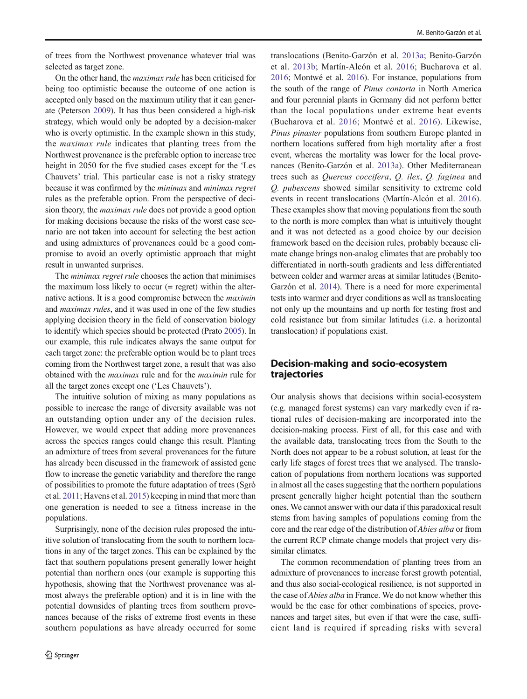of trees from the Northwest provenance whatever trial was selected as target zone.

On the other hand, the maximax rule has been criticised for being too optimistic because the outcome of one action is accepted only based on the maximum utility that it can generate (Peterson [2009](#page-9-0)). It has thus been considered a high-risk strategy, which would only be adopted by a decision-maker who is overly optimistic. In the example shown in this study, the maximax rule indicates that planting trees from the Northwest provenance is the preferable option to increase tree height in 2050 for the five studied cases except for the 'Les Chauvets' trial. This particular case is not a risky strategy because it was confirmed by the minimax and minimax regret rules as the preferable option. From the perspective of decision theory, the maximax rule does not provide a good option for making decisions because the risks of the worst case scenario are not taken into account for selecting the best action and using admixtures of provenances could be a good compromise to avoid an overly optimistic approach that might result in unwanted surprises.

The *minimax regret rule* chooses the action that minimises the maximum loss likely to occur (= regret) within the alternative actions. It is a good compromise between the maximin and maximax rules, and it was used in one of the few studies applying decision theory in the field of conservation biology to identify which species should be protected (Prato [2005](#page-9-0)). In our example, this rule indicates always the same output for each target zone: the preferable option would be to plant trees coming from the Northwest target zone, a result that was also obtained with the maximax rule and for the maximin rule for all the target zones except one ('Les Chauvets').

The intuitive solution of mixing as many populations as possible to increase the range of diversity available was not an outstanding option under any of the decision rules. However, we would expect that adding more provenances across the species ranges could change this result. Planting an admixture of trees from several provenances for the future has already been discussed in the framework of assisted gene flow to increase the genetic variability and therefore the range of possibilities to promote the future adaptation of trees (Sgrò et al. [2011](#page-10-0); Havens et al. [2015](#page-9-0)) keeping in mind that more than one generation is needed to see a fitness increase in the populations.

Surprisingly, none of the decision rules proposed the intuitive solution of translocating from the south to northern locations in any of the target zones. This can be explained by the fact that southern populations present generally lower height potential than northern ones (our example is supporting this hypothesis, showing that the Northwest provenance was almost always the preferable option) and it is in line with the potential downsides of planting trees from southern provenances because of the risks of extreme frost events in these southern populations as have already occurred for some

translocations (Benito-Garzón et al. [2013a](#page-8-0); Benito-Garzón et al. [2013b;](#page-8-0) Martín-Alcón et al. [2016;](#page-9-0) Bucharova et al. [2016;](#page-8-0) Montwé et al. [2016\)](#page-9-0). For instance, populations from the south of the range of Pinus contorta in North America and four perennial plants in Germany did not perform better than the local populations under extreme heat events (Bucharova et al. [2016;](#page-8-0) Montwé et al. [2016](#page-9-0)). Likewise, Pinus pinaster populations from southern Europe planted in northern locations suffered from high mortality after a frost event, whereas the mortality was lower for the local provenances (Benito-Garzón et al. [2013a](#page-8-0)). Other Mediterranean trees such as Quercus coccifera, Q. ilex, Q. faginea and Q. pubescens showed similar sensitivity to extreme cold events in recent translocations (Martín-Alcón et al. [2016\)](#page-9-0). These examples show that moving populations from the south to the north is more complex than what is intuitively thought and it was not detected as a good choice by our decision framework based on the decision rules, probably because climate change brings non-analog climates that are probably too differentiated in north-south gradients and less differentiated between colder and warmer areas at similar latitudes (Benito-Garzón et al. [2014](#page-8-0)). There is a need for more experimental tests into warmer and dryer conditions as well as translocating not only up the mountains and up north for testing frost and cold resistance but from similar latitudes (i.e. a horizontal translocation) if populations exist.

# Decision-making and socio-ecosystem trajectories

Our analysis shows that decisions within social-ecosystem (e.g. managed forest systems) can vary markedly even if rational rules of decision-making are incorporated into the decision-making process. First of all, for this case and with the available data, translocating trees from the South to the North does not appear to be a robust solution, at least for the early life stages of forest trees that we analysed. The translocation of populations from northern locations was supported in almost all the cases suggesting that the northern populations present generally higher height potential than the southern ones. We cannot answer with our data if this paradoxical result stems from having samples of populations coming from the core and the rear edge of the distribution of Abies alba or from the current RCP climate change models that project very dissimilar climates.

The common recommendation of planting trees from an admixture of provenances to increase forest growth potential, and thus also social-ecological resilience, is not supported in the case of Abies alba in France. We do not know whether this would be the case for other combinations of species, provenances and target sites, but even if that were the case, sufficient land is required if spreading risks with several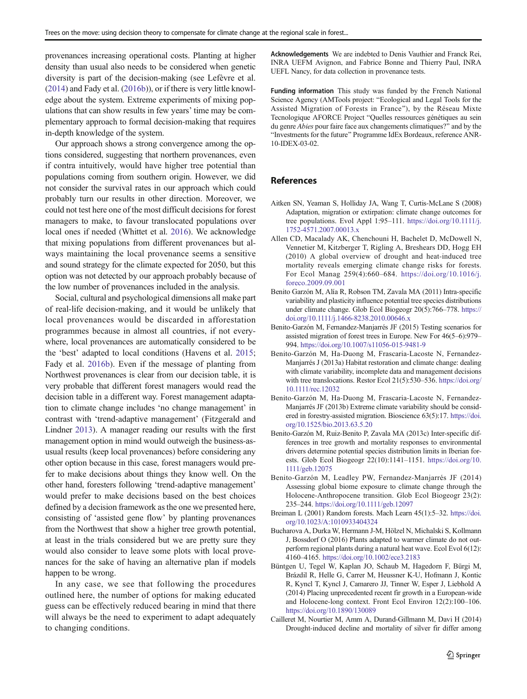<span id="page-8-0"></span>provenances increasing operational costs. Planting at higher density than usual also needs to be considered when genetic diversity is part of the decision-making (see Lefèvre et al. [\(2014\)](#page-9-0) and Fady et al. [\(2016b\)](#page-9-0)), or if there is very little knowledge about the system. Extreme experiments of mixing populations that can show results in few years' time may be complementary approach to formal decision-making that requires in-depth knowledge of the system.

Our approach shows a strong convergence among the options considered, suggesting that northern provenances, even if contra intuitively, would have higher tree potential than populations coming from southern origin. However, we did not consider the survival rates in our approach which could probably turn our results in other direction. Moreover, we could not test here one of the most difficult decisions for forest managers to make, to favour translocated populations over local ones if needed (Whittet et al. [2016\)](#page-10-0). We acknowledge that mixing populations from different provenances but always maintaining the local provenance seems a sensitive and sound strategy for the climate expected for 2050, but this option was not detected by our approach probably because of the low number of provenances included in the analysis.

Social, cultural and psychological dimensions all make part of real-life decision-making, and it would be unlikely that local provenances would be discarded in afforestation programmes because in almost all countries, if not everywhere, local provenances are automatically considered to be the 'best' adapted to local conditions (Havens et al. [2015](#page-9-0); Fady et al. [2016b](#page-9-0)). Even if the message of planting from Northwest provenances is clear from our decision table, it is very probable that different forest managers would read the decision table in a different way. Forest management adaptation to climate change includes 'no change management' in contrast with 'trend-adaptive management' (Fitzgerald and Lindner [2013\)](#page-9-0). A manager reading our results with the first management option in mind would outweigh the business-asusual results (keep local provenances) before considering any other option because in this case, forest managers would prefer to make decisions about things they know well. On the other hand, foresters following 'trend-adaptive management' would prefer to make decisions based on the best choices defined by a decision framework as the one we presented here, consisting of 'assisted gene flow' by planting provenances from the Northwest that show a higher tree growth potential, at least in the trials considered but we are pretty sure they would also consider to leave some plots with local provenances for the sake of having an alternative plan if models happen to be wrong.

In any case, we see that following the procedures outlined here, the number of options for making educated guess can be effectively reduced bearing in mind that there will always be the need to experiment to adapt adequately to changing conditions.

Acknowledgements We are indebted to Denis Vauthier and Franck Rei, INRA UEFM Avignon, and Fabrice Bonne and Thierry Paul, INRA UEFL Nancy, for data collection in provenance tests.

Funding information This study was funded by the French National Science Agency (AMTools project: "Ecological and Legal Tools for the Assisted Migration of Forests in France^), by the Réseau Mixte Tecnologique AFORCE Project "Quelles ressources génétiques au sein du genre Abies pour faire face aux changements climatiques?" and by the "Investments for the future" Programme IdEx Bordeaux, reference ANR-10-IDEX-03-02.

## References

- Aitken SN, Yeaman S, Holliday JA, Wang T, Curtis-McLane S (2008) Adaptation, migration or extirpation: climate change outcomes for tree populations. Evol Appl 1:95–111. [https://doi.org/10.1111/j.](https://doi.org/10.1111/j.1752-4571.2007.00013.x) [1752-4571.2007.00013.x](https://doi.org/10.1111/j.1752-4571.2007.00013.x)
- Allen CD, Macalady AK, Chenchouni H, Bachelet D, McDowell N, Vennetier M, Kitzberger T, Rigling A, Breshears DD, Hogg EH (2010) A global overview of drought and heat-induced tree mortality reveals emerging climate change risks for forests. For Ecol Manag 259(4):660–684. [https://doi.org/10.1016/j.](https://doi.org/10.1016/j.foreco.2009.09.001) [foreco.2009.09.001](https://doi.org/10.1016/j.foreco.2009.09.001)
- Benito Garzón M, Alía R, Robson TM, Zavala MA (2011) Intra-specific variability and plasticity influence potential tree species distributions under climate change. Glob Ecol Biogeogr 20(5):766–778. [https://](https://doi.org/10.1111/j.1466-8238.2010.00646.x) [doi.org/10.1111/j.1466-8238.2010.00646.x](https://doi.org/10.1111/j.1466-8238.2010.00646.x)
- Benito-Garzón M, Fernandez-Manjarrés JF (2015) Testing scenarios for assisted migration of forest trees in Europe. New For 46(5–6):979– 994. <https://doi.org/10.1007/s11056-015-9481-9>
- Benito-Garzón M, Ha-Duong M, Frascaria-Lacoste N, Fernandez-Manjarrés J (2013a) Habitat restoration and climate change: dealing with climate variability, incomplete data and management decisions with tree translocations. Restor Ecol 21(5):530–536. [https://doi.org/](https://doi.org/10.1111/rec.12032) [10.1111/rec.12032](https://doi.org/10.1111/rec.12032)
- Benito-Garzón M, Ha-Duong M, Frascaria-Lacoste N, Fernandez-Manjarrés JF (2013b) Extreme climate variability should be considered in forestry-assisted migration. Bioscience 63(5):17. [https://doi.](https://doi.org/10.1525/bio.2013.63.5.20) [org/10.1525/bio.2013.63.5.20](https://doi.org/10.1525/bio.2013.63.5.20)
- Benito-Garzón M, Ruiz-Benito P, Zavala MA (2013c) Inter-specific differences in tree growth and mortality responses to environmental drivers determine potential species distribution limits in Iberian forests. Glob Ecol Biogeogr 22(10):1141–1151. [https://doi.org/10.](https://doi.org/10.1111/geb.12075) [1111/geb.12075](https://doi.org/10.1111/geb.12075)
- Benito-Garzón M, Leadley PW, Fernandez-Manjarrés JF (2014) Assessing global biome exposure to climate change through the Holocene-Anthropocene transition. Glob Ecol Biogeogr 23(2): 235–244. <https://doi.org/10.1111/geb.12097>
- Breiman L (2001) Random forests. Mach Learn 45(1):5–32. [https://doi.](https://doi.org/10.1111/j.1752-4571.2007.00013.x) [org/10.1023/A:1010933404324](https://doi.org/10.1111/j.1752-4571.2007.00013.x)
- Bucharova A, Durka W, Hermann J-M, Hölzel N, Michalski S, Kollmann J, Bossdorf O (2016) Plants adapted to warmer climate do not outperform regional plants during a natural heat wave. Ecol Evol 6(12): 4160–4165. <https://doi.org/10.1002/ece3.2183>
- Büntgen U, Tegel W, Kaplan JO, Schaub M, Hagedorn F, Bürgi M, Brázdil R, Helle G, Carrer M, Heussner K-U, Hofmann J, Kontic R, Kyncl T, Kyncl J, Camarero JJ, Tinner W, Esper J, Liebhold A (2014) Placing unprecedented recent fir growth in a European-wide and Holocene-long context. Front Ecol Environ 12(2):100–106. <https://doi.org/10.1890/130089>
- Cailleret M, Nourtier M, Amm A, Durand-Gillmann M, Davi H (2014) Drought-induced decline and mortality of silver fir differ among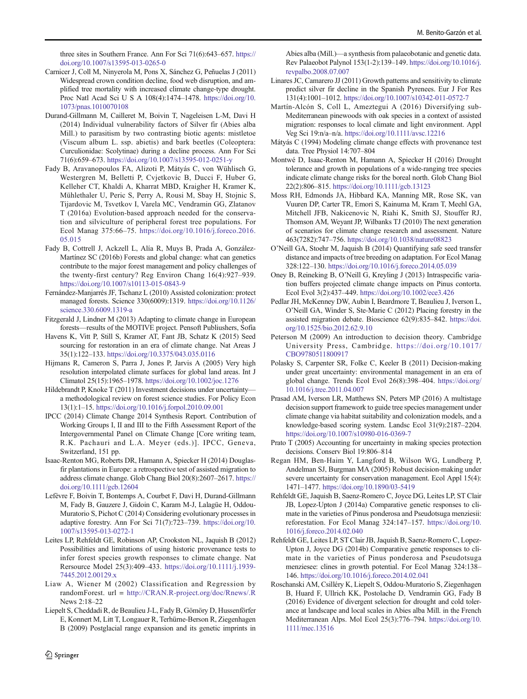<span id="page-9-0"></span>three sites in Southern France. Ann For Sci 71(6):643–657. [https://](https://doi.org/10.1007/s13595-013-0265-0) [doi.org/10.1007/s13595-013-0265-0](https://doi.org/10.1007/s13595-013-0265-0)

- Carnicer J, Coll M, Ninyerola M, Pons X, Sánchez G, Peñuelas J (2011) Widespread crown condition decline, food web disruption, and amplified tree mortality with increased climate change-type drought. Proc Natl Acad Sci U S A 108(4):1474–1478. [https://doi.org/10.](https://doi.org/10.1073/pnas.1010070108) [1073/pnas.1010070108](https://doi.org/10.1073/pnas.1010070108)
- Durand-Gillmann M, Cailleret M, Boivin T, Nageleisen L-M, Davi H (2014) Individual vulnerability factors of Silver fir (Abies alba Mill.) to parasitism by two contrasting biotic agents: mistletoe (Viscum album L. ssp. abietis) and bark beetles (Coleoptera: Curculionidae: Scolytinae) during a decline process. Ann For Sci 71(6):659–673. <https://doi.org/10.1007/s13595-012-0251-y>
- Fady B, Aravanopoulos FA, Alizoti P, Mátyás C, von Wühlisch G, Westergren M, Belletti P, Cvjetkovic B, Ducci F, Huber G, Kelleher CT, Khaldi A, Kharrat MBD, Kraigher H, Kramer K, Mühlethaler U, Peric S, Perry A, Rousi M, Sbay H, Stojnic S, Tijardovic M, Tsvetkov I, Varela MC, Vendramin GG, Zlatanov T (2016a) Evolution-based approach needed for the conservation and silviculture of peripheral forest tree populations. For Ecol Manag 375:66–75. [https://doi.org/10.1016/j.foreco.2016.](https://doi.org/10.1016/j.foreco.2016.05.015) [05.015](https://doi.org/10.1016/j.foreco.2016.05.015)
- Fady B, Cottrell J, Ackzell L, Alía R, Muys B, Prada A, González-Martínez SC (2016b) Forests and global change: what can genetics contribute to the major forest management and policy challenges of the twenty-first century? Reg Environ Chang 16(4):927–939. <https://doi.org/10.1007/s10113-015-0843-9>
- Fernández-Manjarrés JF, Tschanz L (2010) Assisted colonization: protect managed forests. Science 330(6009):1319. [https://doi.org/10.1126/](https://doi.org/10.1126/science.330.6009.1319-a) [science.330.6009.1319-a](https://doi.org/10.1126/science.330.6009.1319-a)
- Fitzgerald J, Lindner M (2013) Adapting to climate change in European forests—results of the MOTIVE project. Pensoft Publiushers, Sofia
- Havens K, Vitt P, Still S, Kramer AT, Fant JB, Schatz K (2015) Seed sourcing for restoration in an era of climate change. Nat Areas J 35(1):122–133. <https://doi.org/10.3375/043.035.0116>
- Hijmans R, Cameron S, Parra J, Jones P, Jarvis A (2005) Very high resolution interpolated climate surfaces for global land areas. Int J Climatol 25(15):1965–1978. <https://doi.org/10.1002/joc.1276>
- Hildebrandt P, Knoke T (2011) Investment decisions under uncertaintya methodological review on forest science studies. For Policy Econ 13(1):1–15. <https://doi.org/10.1016/j.forpol.2010.09.001>
- IPCC (2014) Climate Change 2014 Synthesis Report. Contribution of Working Groups I, II and III to the Fifth Assessment Report of the Intergovernmental Panel on Climate Change [Core writing team, R.K. Pachauri and L.A. Meyer (eds.)]. IPCC, Geneva, Switzerland, 151 pp.
- Isaac-Renton MG, Roberts DR, Hamann A, Spiecker H (2014) Douglasfir plantations in Europe: a retrospective test of assisted migration to address climate change. Glob Chang Biol 20(8):2607–2617. [https://](https://doi.org/10.1111/gcb.12604) [doi.org/10.1111/gcb.12604](https://doi.org/10.1111/gcb.12604)
- Lefèvre F, Boivin T, Bontemps A, Courbet F, Davi H, Durand-Gillmann M, Fady B, Gauzere J, Gidoin C, Karam M-J, Lalagüe H, Oddou-Muratorio S, Pichot C (2014) Considering evolutionary processes in adaptive forestry. Ann For Sci 71(7):723–739. [https://doi.org/10.](https://doi.org/10.1007/s13595-013-0272-1) [1007/s13595-013-0272-1](https://doi.org/10.1007/s13595-013-0272-1)
- Leites LP, Rehfeldt GE, Robinson AP, Crookston NL, Jaquish B (2012) Possibilities and limitations of using historic provenance tests to infer forest species growth responses to climate change. Nat Rersource Model 25(3):409–433. [https://doi.org/10.1111/j.1939-](https://doi.org/10.1111/j.1939-7445.2012.00129.x) [7445.2012.00129.x](https://doi.org/10.1111/j.1939-7445.2012.00129.x)
- Liaw A, Wiener M (2002) Classification and Regression by randomForest. url = [http://CRAN.R-project.org/doc/Rnews/.R](http://cran.r-project.org/doc/Rnews/.R) News 2:18–22
- Liepelt S, Cheddadi R, de Beaulieu J-L, Fady B, Gömöry D, Hussenförfer E, Konnert M, Litt T, Longauer R, Terhürne-Berson R, Ziegenhagen B (2009) Postglacial range expansion and its genetic imprints in

 $\hat{Z}$  Springer

Abies alba (Mill.)—a synthesis from palaeobotanic and genetic data. Rev Palaeobot Palynol 153(1-2):139–149. [https://doi.org/10.1016/j.](https://doi.org/10.1016/j.revpalbo.2008.07.007) [revpalbo.2008.07.007](https://doi.org/10.1016/j.revpalbo.2008.07.007)

- Linares JC, Camarero JJ (2011) Growth patterns and sensitivity to climate predict silver fir decline in the Spanish Pyrenees. Eur J For Res 131(4):1001–1012. <https://doi.org/10.1007/s10342-011-0572-7>
- Martín-Alcón S, Coll L, Ameztegui A (2016) Diversifying sub-Mediterranean pinewoods with oak species in a context of assisted migration: responses to local climate and light environment. Appl Veg Sci 19:n/a–n/a. <https://doi.org/10.1111/avsc.12216>
- Mátyás C (1994) Modeling climate change effects with provenance test data. Tree Physiol 14:707–804
- Montwé D, Isaac-Renton M, Hamann A, Spiecker H (2016) Drought tolerance and growth in populations of a wide-ranging tree species indicate climate change risks for the boreal north. Glob Chang Biol 22(2):806–815. <https://doi.org/10.1111/gcb.13123>
- Moss RH, Edmonds JA, Hibbard KA, Manning MR, Rose SK, van Vuuren DP, Carter TR, Emori S, Kainuma M, Kram T, Meehl GA, Mitchell JFB, Nakicenovic N, Riahi K, Smith SJ, Stouffer RJ, Thomson AM, Weyant JP, Wilbanks TJ (2010) The next generation of scenarios for climate change research and assessment. Nature 463(7282):747–756. <https://doi.org/10.1038/nature08823>
- O'Neill GA, Stoehr M, Jaquish B (2014) Quantifying safe seed transfer distance and impacts of tree breeding on adaptation. For Ecol Manag 328:122–130. <https://doi.org/10.1016/j.foreco.2014.05.039>
- Oney B, Reineking B, O'Neill G, Kreyling J (2013) Intraspecific variation buffers projected climate change impacts on Pinus contorta. Ecol Evol 3(2):437–449. <https://doi.org/10.1002/ece3.426>
- Pedlar JH, McKenney DW, Aubin I, Beardmore T, Beaulieu J, Iverson L, O'Neill GA, Winder S, Ste-Marie C (2012) Placing forestry in the assisted migration debate. Bioscience 62(9):835–842. [https://doi.](https://doi.org/10.1525/bio.2012.62.9.10) [org/10.1525/bio.2012.62.9.10](https://doi.org/10.1525/bio.2012.62.9.10)
- Peterson M (2009) An introduction to decision theory. Cambridge University Press, Cambridge. [https://doi.org/10.1017/](https://doi.org/10.1017/CBO9780511800917) [CBO9780511800917](https://doi.org/10.1017/CBO9780511800917)
- Polasky S, Carpenter SR, Folke C, Keeler B (2011) Decision-making under great uncertainty: environmental management in an era of global change. Trends Ecol Evol 26(8):398–404. [https://doi.org/](https://doi.org/10.1016/j.tree.2011.04.007) [10.1016/j.tree.2011.04.007](https://doi.org/10.1016/j.tree.2011.04.007)
- Prasad AM, Iverson LR, Matthews SN, Peters MP (2016) A multistage decision support framework to guide tree species management under climate change via habitat suitability and colonization models, and a knowledge-based scoring system. Landsc Ecol 31(9):2187–2204. <https://doi.org/10.1007/s10980-016-0369-7>
- Prato T (2005) Accounting for uncertainty in making species protection decisions. Conserv Biol 19:806–814
- Regan HM, Ben-Haim Y, Langford B, Wilson WG, Lundberg P, Andelman SJ, Burgman MA (2005) Robust decision-making under severe uncertainty for conservation management. Ecol Appl 15(4): 1471–1477. <https://doi.org/10.1890/03-5419>
- Rehfeldt GE, Jaquish B, Saenz-Romero C, Joyce DG, Leites LP, ST Clair JB, Lopez-Upton J (2014a) Comparative genetic responses to climate in the varieties of Pinus ponderosa and Pseudotsuga menziesii: reforestation. For Ecol Manag 324:147–157. [https://doi.org/10.](https://doi.org/10.1016/j.foreco.2014.02.040) [1016/j.foreco.2014.02.040](https://doi.org/10.1016/j.foreco.2014.02.040)
- Rehfeldt GE, Leites LP, ST Clair JB, Jaquish B, Saenz-Romero C, Lopez-Upton J, Joyce DG (2014b) Comparative genetic responses to climate in the varieties of Pinus ponderosa and Pseudotsuga menziesee: clines in growth potential. For Ecol Manag 324:138– 146. <https://doi.org/10.1016/j.foreco.2014.02.041>
- Roschanski AM, Csilléry K, Liepelt S, Oddou-Muratorio S, Ziegenhagen B, Huard F, Ullrich KK, Postolache D, Vendramin GG, Fady B (2016) Evidence of divergent selection for drought and cold tolerance at landscape and local scales in Abies alba Mill. in the French Mediterranean Alps. Mol Ecol 25(3):776–794. [https://doi.org/10.](https://doi.org/10.1111/mec.13516) [1111/mec.13516](https://doi.org/10.1111/mec.13516)